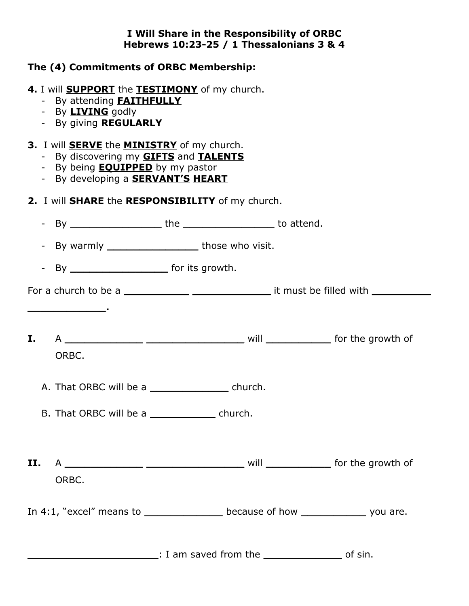#### **I Will Share in the Responsibility of ORBC Hebrews 10:23-25 / 1 Thessalonians 3 & 4**

## **The (4) Commitments of ORBC Membership:**

## **4.** I will **SUPPORT** the **TESTIMONY** of my church.

- By attending **FAITHFULLY**
- By **LIVING** godly
- By giving **REGULARLY**

### **3.** I will **SERVE** the **MINISTRY** of my church.

- By discovering my **GIFTS** and **TALENTS**
- By being **EQUIPPED** by my pastor
- By developing a **SERVANT'S HEART**

# **2.** I will **SHARE** the **RESPONSIBILITY** of my church.

|    |                                                  | - By warmly ____________________________those who visit. |                                                                                                                    |
|----|--------------------------------------------------|----------------------------------------------------------|--------------------------------------------------------------------------------------------------------------------|
|    |                                                  |                                                          |                                                                                                                    |
|    |                                                  |                                                          |                                                                                                                    |
|    |                                                  |                                                          |                                                                                                                    |
| I. |                                                  |                                                          |                                                                                                                    |
|    | ORBC.                                            |                                                          |                                                                                                                    |
|    |                                                  | A. That ORBC will be a _______________________ church.   |                                                                                                                    |
|    | B. That ORBC will be a _________________ church. |                                                          |                                                                                                                    |
|    |                                                  |                                                          |                                                                                                                    |
|    |                                                  |                                                          |                                                                                                                    |
|    | ORBC.                                            |                                                          |                                                                                                                    |
|    |                                                  |                                                          | In 4:1, "excel" means to $\frac{1}{\sqrt{1-\frac{1}{n}}}$ because of how $\frac{1}{\sqrt{1-\frac{1}{n}}}$ you are. |
|    |                                                  |                                                          |                                                                                                                    |
|    |                                                  | and Saved from the the subsequence of sin.               |                                                                                                                    |